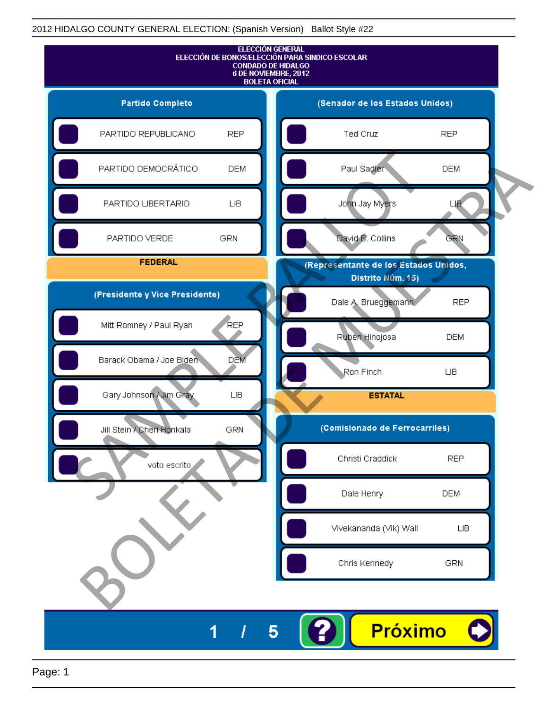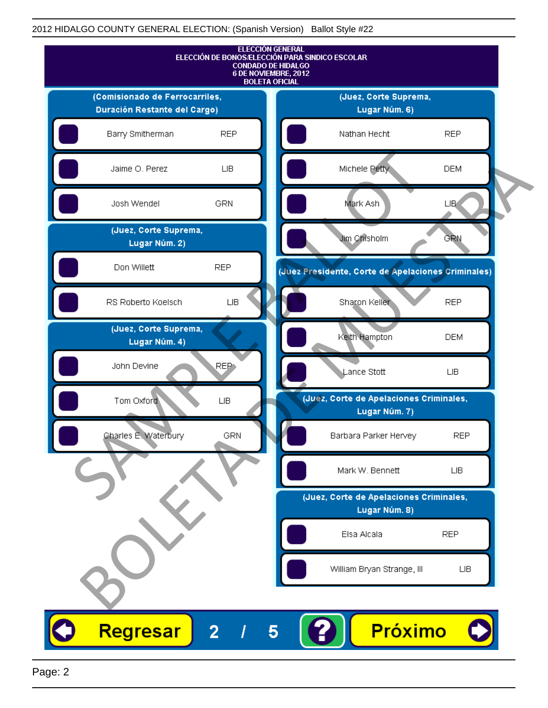

Page: 2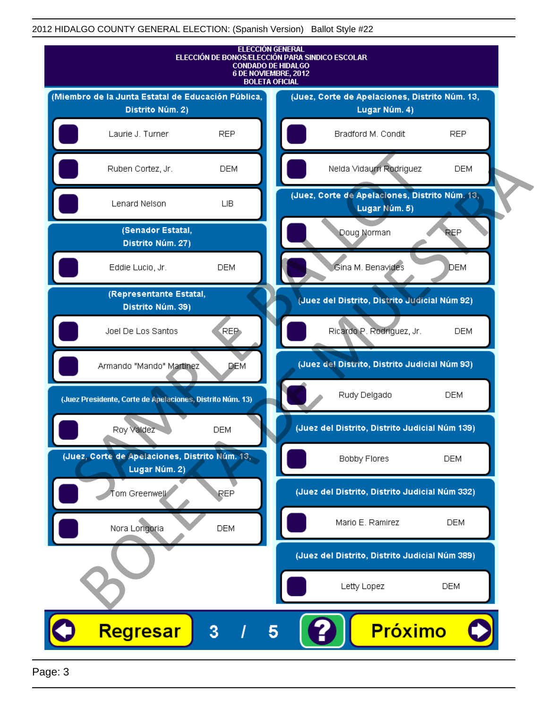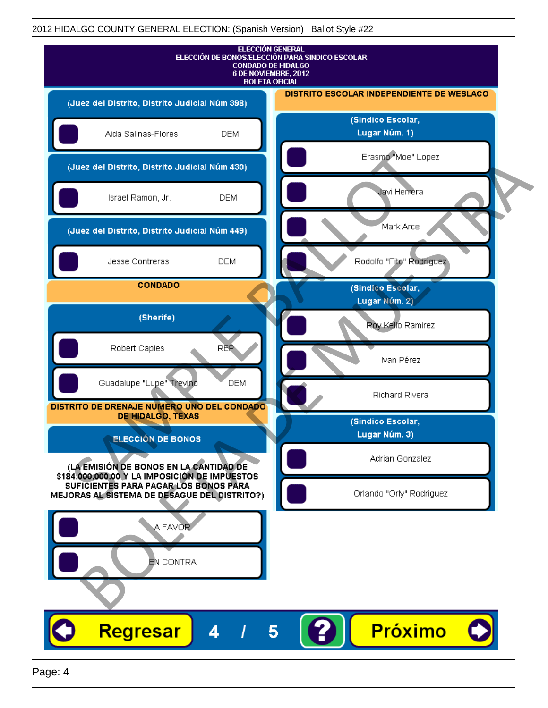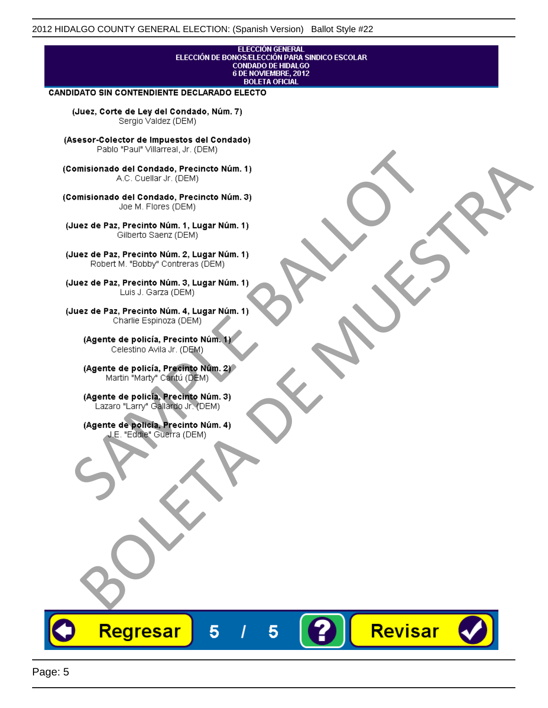## ELECCIÓN GENERAL ELECCIÓN DE BONOS/ELECCIÓN PARA SINDICO ESCOLAR<br>CONDADO DE HIDALGO<br>6 DE NOVIEMBRE, 2012 **BOLETA OFICIAL**

Revisar

### **CANDIDATO SIN CONTENDIENTE DECLARADO ELECTO**

(Juez, Corte de Ley del Condado, Núm. 7) Sergio Valdez (DEM)

(Asesor-Colector de Impuestos del Condado)

Fallo Fall Willdrea, J.I. (DEM)<br>
Consistionado el Condado, Precincto Núm. 1)<br>
A.C. Cuellar Jr. (DEM)<br>
Ullez de Paz, Precinto Núm. 1)<br>
Juez de Paz, Precinto Núm. 1, Lugar Núm. 1)<br>
Gilberto Sentr (DEM)<br>
Robert M. "Bobby" Con misionado del Condiado, Precincto Núm. 1)<br>
Andro del Condiado, Precincto Núm. 3)<br>
ez de Paz, Precinto Núm. 21<br>
algo M. Picer Lo Saerz, Cichi (DEM)<br>
algo M. Picer Lo Saerz, Cichi (DEM)<br>
algo M. Picer Lo Saerz, Cichi (DEM)<br>

Regresar

5

5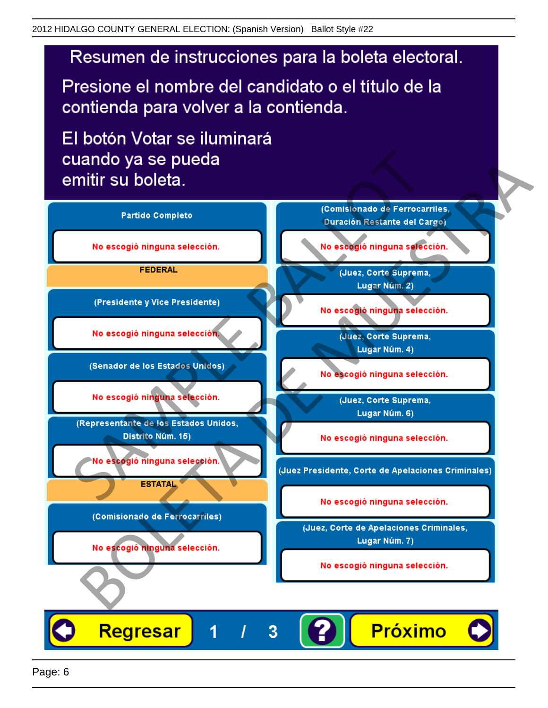# Resumen de instrucciones para la boleta electoral.

Presione el nombre del candidato o el título de la contienda para volver a la contienda.

El botón Votar se iluminará

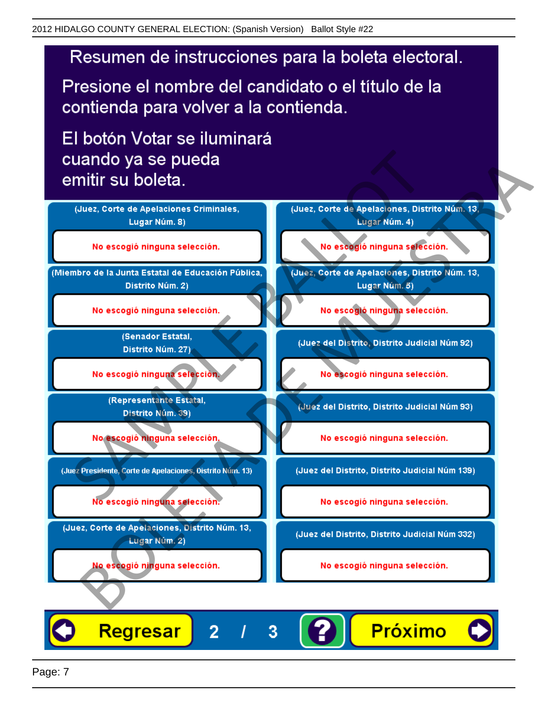# Resumen de instrucciones para la boleta electoral.

Presione el nombre del candidato o el título de la contienda para volver a la contienda.

El botón Votar se iluminará